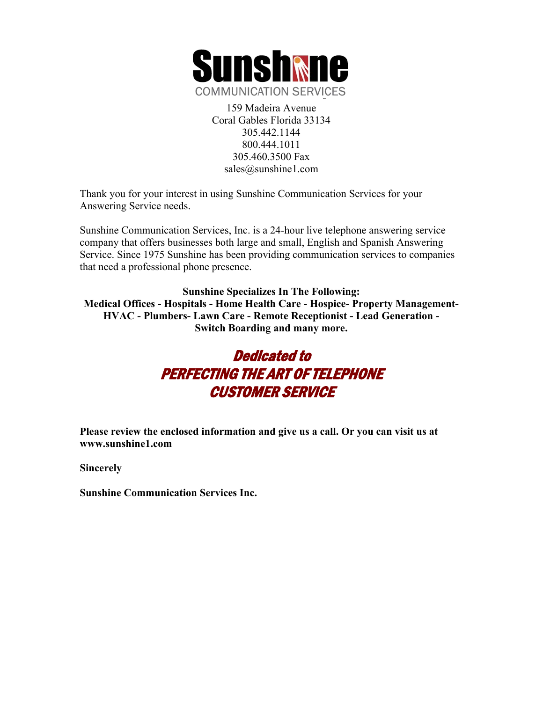

159 Madeira Avenue Coral Gables Florida 33134 305.442.1144 800.444.1011 305.460.3500 Fax sales@sunshine1.com

Thank you for your interest in using Sunshine Communication Services for your Answering Service needs.

Sunshine Communication Services, Inc. is a 24-hour live telephone answering service company that offers businesses both large and small, English and Spanish Answering Service. Since 1975 Sunshine has been providing communication services to companies that need a professional phone presence.

**Sunshine Specializes In The Following: Medical Offices - Hospitals - Home Health Care - Hospice- Property Management-HVAC - Plumbers- Lawn Care - Remote Receptionist - Lead Generation - Switch Boarding and many more.** 

## Dedicated to PERFECTING THE ART OF TELEPHONE CUSTOMER SERVICE

**Please review the enclosed information and give us a call. Or you can visit us at www.sunshine1.com** 

**Sincerely** 

**Sunshine Communication Services Inc.**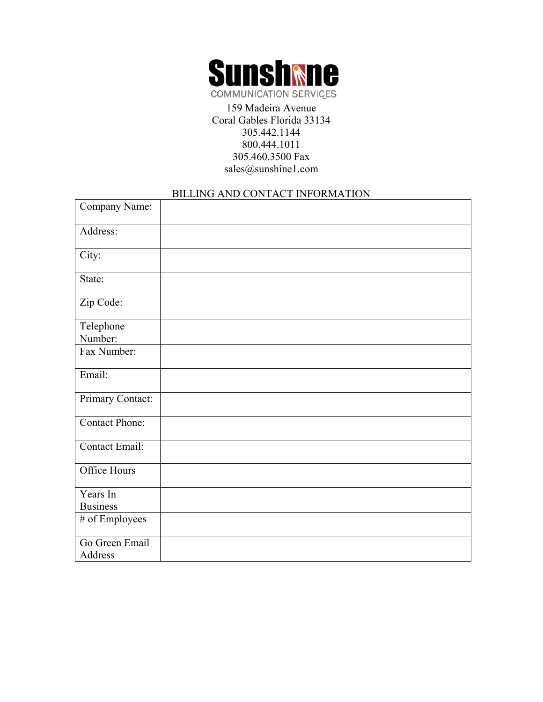

COMMUNICATION SERVICES

#### 159 Madeira Avenue Coral Gables Florida 33134 305.442.1144 800.444.1011 305.460.3500 Fax sales@sunshine1.com

### BILLING AND CONTACT INFORMATION

| Company Name:         |  |
|-----------------------|--|
| Address:              |  |
| City:                 |  |
| State:                |  |
| Zip Code:             |  |
| Telephone             |  |
| Number:               |  |
| Fax Number:           |  |
| Email:                |  |
| Primary Contact:      |  |
| <b>Contact Phone:</b> |  |
| Contact Email:        |  |
| Office Hours          |  |
| Years In              |  |
| <b>Business</b>       |  |
| # of Employees        |  |
| Go Green Email        |  |
| Address               |  |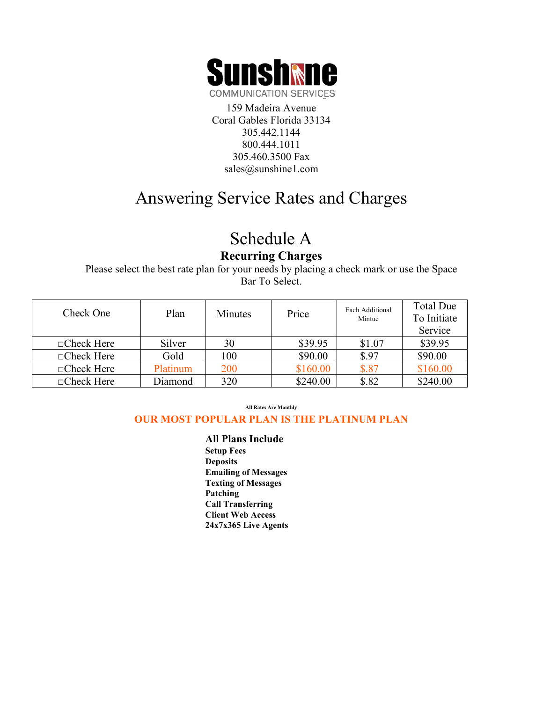

159 Madeira Avenue Coral Gables Florida 33134 305.442.1144 800.444.1011 305.460.3500 Fax sales@sunshine1.com

## Answering Service Rates and Charges

# Schedule A

**Recurring Charges** 

Please select the best rate plan for your needs by placing a check mark or use the Space Bar To Select.

| Check One         | Plan     | <b>Minutes</b> | Price    | Each Additional<br>Mintue | <b>Total Due</b><br>To Initiate<br>Service |
|-------------------|----------|----------------|----------|---------------------------|--------------------------------------------|
| $\Box$ Check Here | Silver   | 30             | \$39.95  | \$1.07                    | \$39.95                                    |
| $\Box$ Check Here | Gold     | 100            | \$90.00  | \$.97                     | \$90.00                                    |
| $\Box$ Check Here | Platinum | 200            | \$160.00 | \$.87                     | \$160.00                                   |
| $\Box$ Check Here | Diamond  | 320            | \$240.00 | \$.82                     | \$240.00                                   |

**All Rates Are Monthly**

#### **OUR MOST POPULAR PLAN IS THE PLATINUM PLAN**

**All Plans Include Setup Fees Deposits Emailing of Messages Texting of Messages Patching Call Transferring Client Web Access 24x7x365 Live Agents**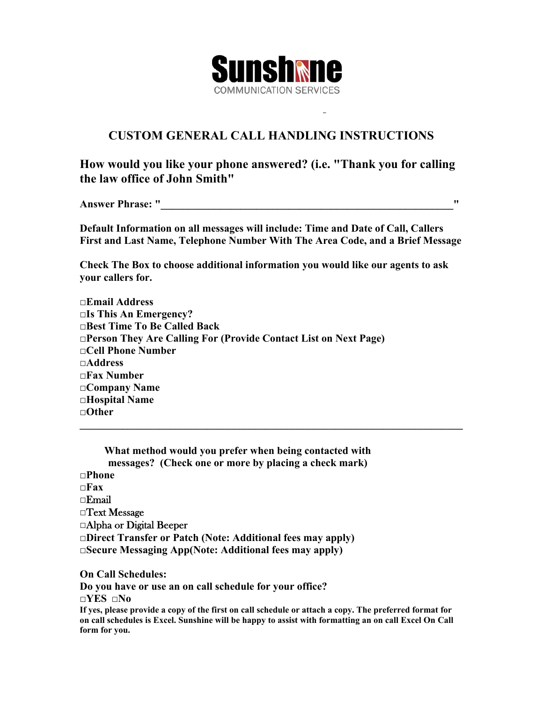

### **CUSTOM GENERAL CALL HANDLING INSTRUCTIONS**

**How would you like your phone answered? (i.e. "Thank you for calling the law office of John Smith"** 

**Answer Phrase: "**  $\blacksquare$ 

**Default Information on all messages will include: Time and Date of Call, Callers First and Last Name, Telephone Number With The Area Code, and a Brief Message** 

**Check The Box to choose additional information you would like our agents to ask your callers for.** 

 $\mathcal{L}_\mathcal{L} = \mathcal{L}_\mathcal{L} - \mathcal{L}_\mathcal{L}$ 

**□Email Address □Is This An Emergency? □Best Time To Be Called Back □Person They Are Calling For (Provide Contact List on Next Page) □Cell Phone Number □Address □Fax Number □Company Name □Hospital Name □Other**

**What method would you prefer when being contacted with messages? (Check one or more by placing a check mark) □Phone □Fax □**Email **□**Text Message **□**Alpha or Digital Beeper **□Direct Transfer or Patch (Note: Additional fees may apply) □Secure Messaging App(Note: Additional fees may apply)**

**On Call Schedules:** 

**Do you have or use an on call schedule for your office? □YES □No If yes, please provide a copy of the first on call schedule or attach a copy. The preferred format for**

**on call schedules is Excel. Sunshine will be happy to assist with formatting an on call Excel On Call form for you.**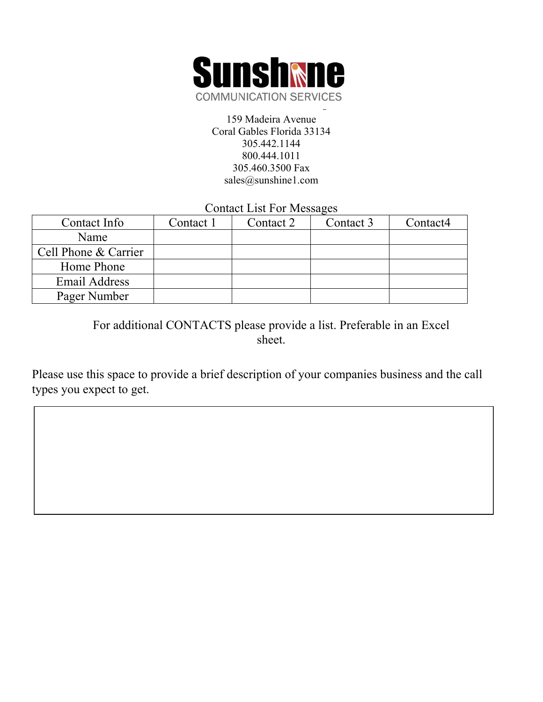

159 Madeira Avenue Coral Gables Florida 33134 305.442.1144 800.444.1011 305.460.3500 Fax sales@sunshine1.com

Contact List For Messages

| Contact Info         | Contact 1 | Contact 2 | Contact 3 | Contact4 |
|----------------------|-----------|-----------|-----------|----------|
| Name                 |           |           |           |          |
| Cell Phone & Carrier |           |           |           |          |
| Home Phone           |           |           |           |          |
| Email Address        |           |           |           |          |
| Pager Number         |           |           |           |          |

For additional CONTACTS please provide a list. Preferable in an Excel sheet.

Please use this space to provide a brief description of your companies business and the call types you expect to get.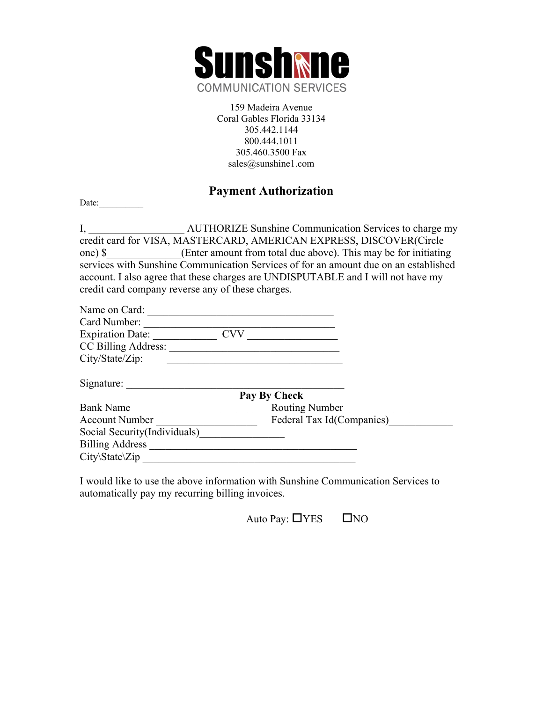

159 Madeira Avenue Coral Gables Florida 33134 305.442.1144 800.444.1011 305.460.3500 Fax sales@sunshine1.com

### **Payment Authorization**

Date:  $\qquad \qquad$ 

I, \_\_\_\_\_\_\_\_\_\_\_\_\_\_\_\_\_\_ AUTHORIZE Sunshine Communication Services to charge my credit card for VISA, MASTERCARD, AMERICAN EXPRESS, DISCOVER(Circle one) \$ (Enter amount from total due above). This may be for initiating services with Sunshine Communication Services of for an amount due on an established account. I also agree that these charges are UNDISPUTABLE and I will not have my credit card company reverse any of these charges.

| CVV                       |
|---------------------------|
|                           |
|                           |
|                           |
| Pay By Check              |
| <b>Routing Number</b>     |
| Federal Tax Id(Companies) |
|                           |
|                           |
|                           |
|                           |

I would like to use the above information with Sunshine Communication Services to automatically pay my recurring billing invoices.

Auto Pay:  $\Box$  YES  $\Box$  NO